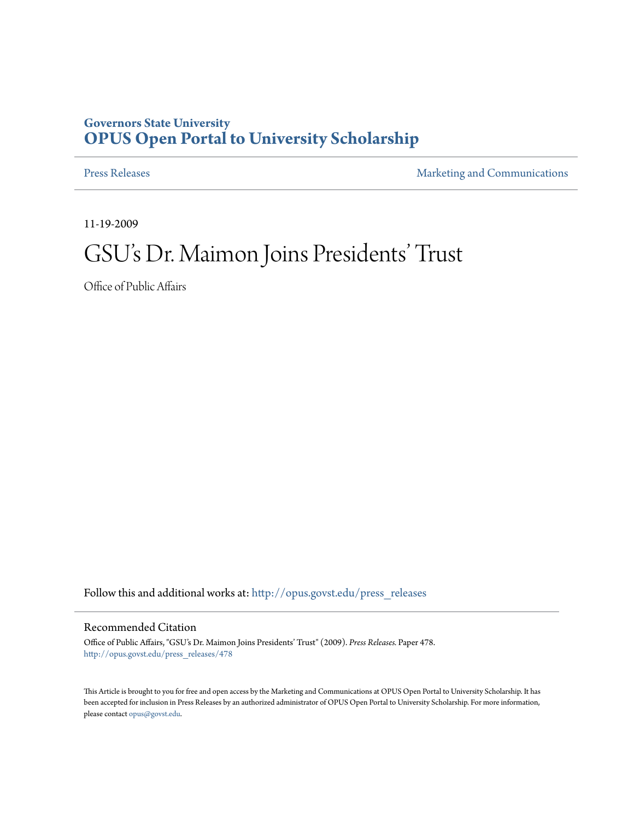## **Governors State University [OPUS Open Portal to University Scholarship](http://opus.govst.edu?utm_source=opus.govst.edu%2Fpress_releases%2F478&utm_medium=PDF&utm_campaign=PDFCoverPages)**

[Press Releases](http://opus.govst.edu/press_releases?utm_source=opus.govst.edu%2Fpress_releases%2F478&utm_medium=PDF&utm_campaign=PDFCoverPages) **[Marketing and Communications](http://opus.govst.edu/marketing_comm?utm_source=opus.govst.edu%2Fpress_releases%2F478&utm_medium=PDF&utm_campaign=PDFCoverPages)** 

11-19-2009

## GSU's Dr. Maimon Joins Presidents' Trust

Office of Public Affairs

Follow this and additional works at: [http://opus.govst.edu/press\\_releases](http://opus.govst.edu/press_releases?utm_source=opus.govst.edu%2Fpress_releases%2F478&utm_medium=PDF&utm_campaign=PDFCoverPages)

## Recommended Citation

Office of Public Affairs, "GSU's Dr. Maimon Joins Presidents' Trust" (2009). *Press Releases.* Paper 478. [http://opus.govst.edu/press\\_releases/478](http://opus.govst.edu/press_releases/478?utm_source=opus.govst.edu%2Fpress_releases%2F478&utm_medium=PDF&utm_campaign=PDFCoverPages)

This Article is brought to you for free and open access by the Marketing and Communications at OPUS Open Portal to University Scholarship. It has been accepted for inclusion in Press Releases by an authorized administrator of OPUS Open Portal to University Scholarship. For more information, please contact [opus@govst.edu](mailto:opus@govst.edu).